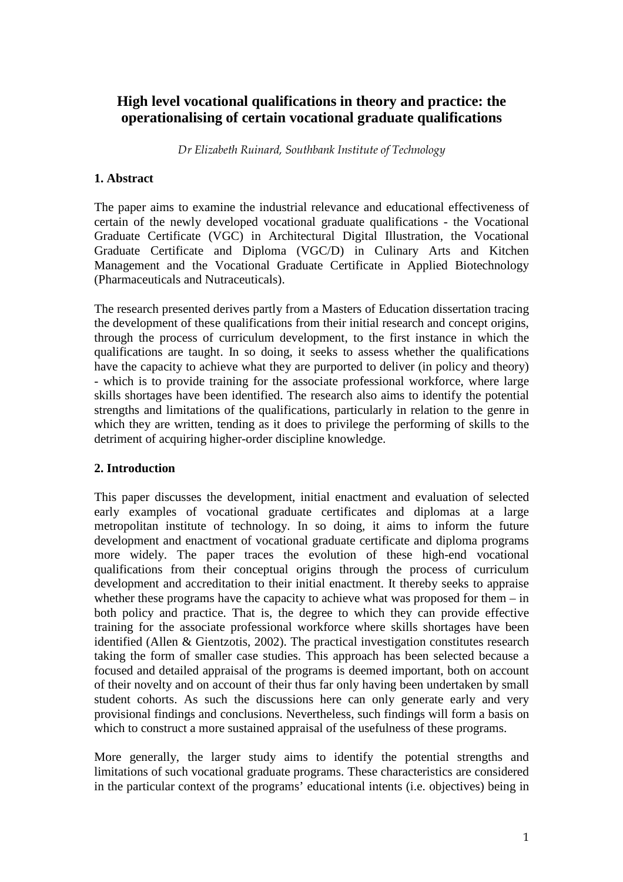# **High level vocational qualifications in theory and practice: the operationalising of certain vocational graduate qualifications**

Dr Elizabeth Ruinard, Southbank Institute of Technology

## **1. Abstract**

The paper aims to examine the industrial relevance and educational effectiveness of certain of the newly developed vocational graduate qualifications - the Vocational Graduate Certificate (VGC) in Architectural Digital Illustration, the Vocational Graduate Certificate and Diploma (VGC/D) in Culinary Arts and Kitchen Management and the Vocational Graduate Certificate in Applied Biotechnology (Pharmaceuticals and Nutraceuticals).

The research presented derives partly from a Masters of Education dissertation tracing the development of these qualifications from their initial research and concept origins, through the process of curriculum development, to the first instance in which the qualifications are taught. In so doing, it seeks to assess whether the qualifications have the capacity to achieve what they are purported to deliver (in policy and theory) - which is to provide training for the associate professional workforce, where large skills shortages have been identified. The research also aims to identify the potential strengths and limitations of the qualifications, particularly in relation to the genre in which they are written, tending as it does to privilege the performing of skills to the detriment of acquiring higher-order discipline knowledge.

# **2. Introduction**

This paper discusses the development, initial enactment and evaluation of selected early examples of vocational graduate certificates and diplomas at a large metropolitan institute of technology. In so doing, it aims to inform the future development and enactment of vocational graduate certificate and diploma programs more widely. The paper traces the evolution of these high-end vocational qualifications from their conceptual origins through the process of curriculum development and accreditation to their initial enactment. It thereby seeks to appraise whether these programs have the capacity to achieve what was proposed for them – in both policy and practice. That is, the degree to which they can provide effective training for the associate professional workforce where skills shortages have been identified (Allen & Gientzotis, 2002). The practical investigation constitutes research taking the form of smaller case studies. This approach has been selected because a focused and detailed appraisal of the programs is deemed important, both on account of their novelty and on account of their thus far only having been undertaken by small student cohorts. As such the discussions here can only generate early and very provisional findings and conclusions. Nevertheless, such findings will form a basis on which to construct a more sustained appraisal of the usefulness of these programs.

More generally, the larger study aims to identify the potential strengths and limitations of such vocational graduate programs. These characteristics are considered in the particular context of the programs' educational intents (i.e. objectives) being in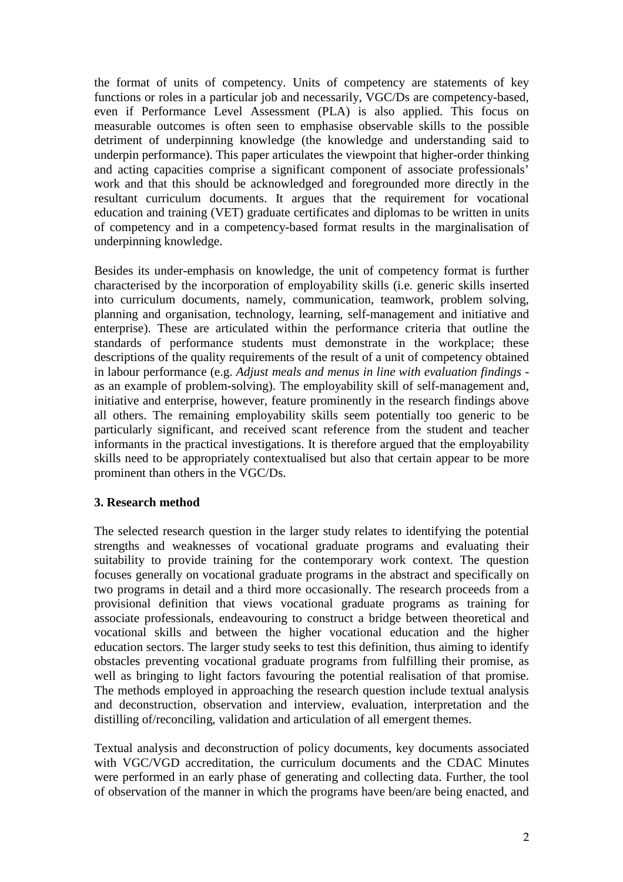the format of units of competency. Units of competency are statements of key functions or roles in a particular job and necessarily, VGC/Ds are competency-based, even if Performance Level Assessment (PLA) is also applied. This focus on measurable outcomes is often seen to emphasise observable skills to the possible detriment of underpinning knowledge (the knowledge and understanding said to underpin performance). This paper articulates the viewpoint that higher-order thinking and acting capacities comprise a significant component of associate professionals' work and that this should be acknowledged and foregrounded more directly in the resultant curriculum documents. It argues that the requirement for vocational education and training (VET) graduate certificates and diplomas to be written in units of competency and in a competency-based format results in the marginalisation of underpinning knowledge.

Besides its under-emphasis on knowledge, the unit of competency format is further characterised by the incorporation of employability skills (i.e. generic skills inserted into curriculum documents, namely, communication, teamwork, problem solving, planning and organisation, technology, learning, self-management and initiative and enterprise). These are articulated within the performance criteria that outline the standards of performance students must demonstrate in the workplace; these descriptions of the quality requirements of the result of a unit of competency obtained in labour performance (e.g. *Adjust meals and menus in line with evaluation findings* as an example of problem-solving). The employability skill of self-management and, initiative and enterprise, however, feature prominently in the research findings above all others. The remaining employability skills seem potentially too generic to be particularly significant, and received scant reference from the student and teacher informants in the practical investigations. It is therefore argued that the employability skills need to be appropriately contextualised but also that certain appear to be more prominent than others in the VGC/Ds.

#### **3. Research method**

The selected research question in the larger study relates to identifying the potential strengths and weaknesses of vocational graduate programs and evaluating their suitability to provide training for the contemporary work context. The question focuses generally on vocational graduate programs in the abstract and specifically on two programs in detail and a third more occasionally. The research proceeds from a provisional definition that views vocational graduate programs as training for associate professionals, endeavouring to construct a bridge between theoretical and vocational skills and between the higher vocational education and the higher education sectors. The larger study seeks to test this definition, thus aiming to identify obstacles preventing vocational graduate programs from fulfilling their promise, as well as bringing to light factors favouring the potential realisation of that promise. The methods employed in approaching the research question include textual analysis and deconstruction, observation and interview, evaluation, interpretation and the distilling of/reconciling, validation and articulation of all emergent themes.

Textual analysis and deconstruction of policy documents, key documents associated with VGC/VGD accreditation, the curriculum documents and the CDAC Minutes were performed in an early phase of generating and collecting data. Further, the tool of observation of the manner in which the programs have been/are being enacted, and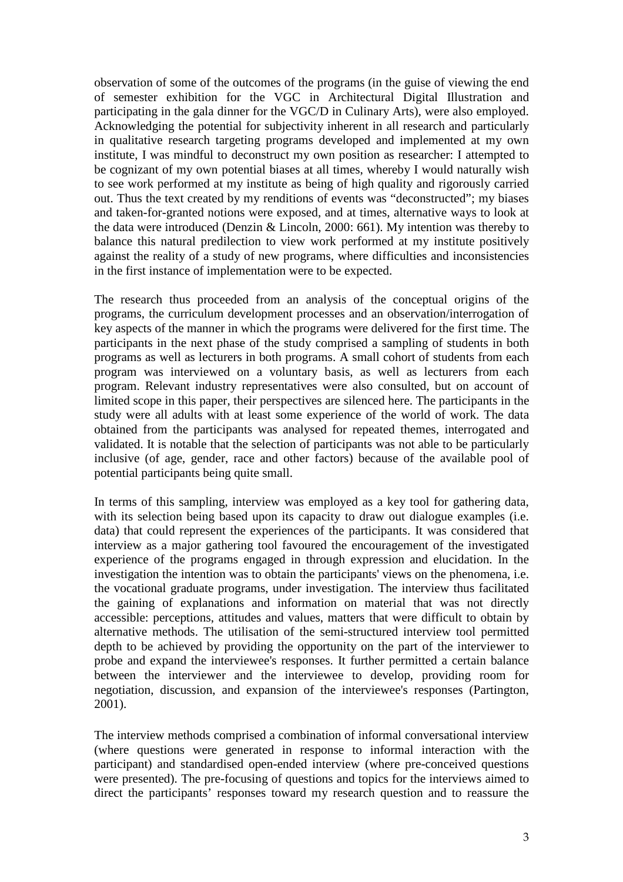observation of some of the outcomes of the programs (in the guise of viewing the end of semester exhibition for the VGC in Architectural Digital Illustration and participating in the gala dinner for the VGC/D in Culinary Arts), were also employed. Acknowledging the potential for subjectivity inherent in all research and particularly in qualitative research targeting programs developed and implemented at my own institute, I was mindful to deconstruct my own position as researcher: I attempted to be cognizant of my own potential biases at all times, whereby I would naturally wish to see work performed at my institute as being of high quality and rigorously carried out. Thus the text created by my renditions of events was "deconstructed"; my biases and taken-for-granted notions were exposed, and at times, alternative ways to look at the data were introduced (Denzin & Lincoln, 2000: 661). My intention was thereby to balance this natural predilection to view work performed at my institute positively against the reality of a study of new programs, where difficulties and inconsistencies in the first instance of implementation were to be expected.

The research thus proceeded from an analysis of the conceptual origins of the programs, the curriculum development processes and an observation/interrogation of key aspects of the manner in which the programs were delivered for the first time. The participants in the next phase of the study comprised a sampling of students in both programs as well as lecturers in both programs. A small cohort of students from each program was interviewed on a voluntary basis, as well as lecturers from each program. Relevant industry representatives were also consulted, but on account of limited scope in this paper, their perspectives are silenced here. The participants in the study were all adults with at least some experience of the world of work. The data obtained from the participants was analysed for repeated themes, interrogated and validated. It is notable that the selection of participants was not able to be particularly inclusive (of age, gender, race and other factors) because of the available pool of potential participants being quite small.

In terms of this sampling, interview was employed as a key tool for gathering data, with its selection being based upon its capacity to draw out dialogue examples (i.e. data) that could represent the experiences of the participants. It was considered that interview as a major gathering tool favoured the encouragement of the investigated experience of the programs engaged in through expression and elucidation. In the investigation the intention was to obtain the participants' views on the phenomena, i.e. the vocational graduate programs, under investigation. The interview thus facilitated the gaining of explanations and information on material that was not directly accessible: perceptions, attitudes and values, matters that were difficult to obtain by alternative methods. The utilisation of the semi-structured interview tool permitted depth to be achieved by providing the opportunity on the part of the interviewer to probe and expand the interviewee's responses. It further permitted a certain balance between the interviewer and the interviewee to develop, providing room for negotiation, discussion, and expansion of the interviewee's responses (Partington, 2001).

The interview methods comprised a combination of informal conversational interview (where questions were generated in response to informal interaction with the participant) and standardised open-ended interview (where pre-conceived questions were presented). The pre-focusing of questions and topics for the interviews aimed to direct the participants' responses toward my research question and to reassure the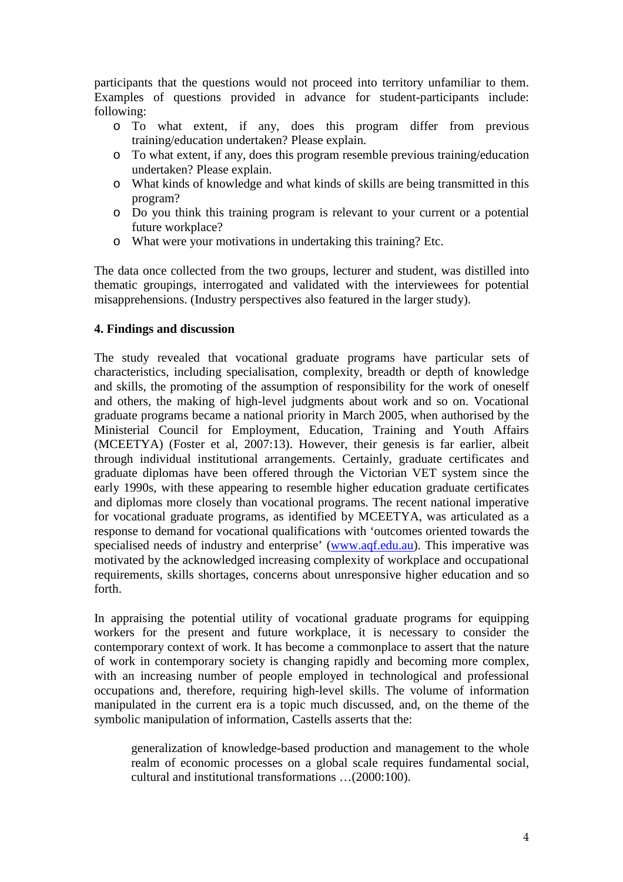participants that the questions would not proceed into territory unfamiliar to them. Examples of questions provided in advance for student-participants include: following:

- o To what extent, if any, does this program differ from previous training/education undertaken? Please explain.
- o To what extent, if any, does this program resemble previous training/education undertaken? Please explain.
- o What kinds of knowledge and what kinds of skills are being transmitted in this program?
- o Do you think this training program is relevant to your current or a potential future workplace?
- o What were your motivations in undertaking this training? Etc.

The data once collected from the two groups, lecturer and student, was distilled into thematic groupings, interrogated and validated with the interviewees for potential misapprehensions. (Industry perspectives also featured in the larger study).

## **4. Findings and discussion**

The study revealed that vocational graduate programs have particular sets of characteristics, including specialisation, complexity, breadth or depth of knowledge and skills, the promoting of the assumption of responsibility for the work of oneself and others, the making of high-level judgments about work and so on. Vocational graduate programs became a national priority in March 2005, when authorised by the Ministerial Council for Employment, Education, Training and Youth Affairs (MCEETYA) (Foster et al, 2007:13). However, their genesis is far earlier, albeit through individual institutional arrangements. Certainly, graduate certificates and graduate diplomas have been offered through the Victorian VET system since the early 1990s, with these appearing to resemble higher education graduate certificates and diplomas more closely than vocational programs. The recent national imperative for vocational graduate programs, as identified by MCEETYA, was articulated as a response to demand for vocational qualifications with 'outcomes oriented towards the specialised needs of industry and enterprise' (www.aqf.edu.au). This imperative was motivated by the acknowledged increasing complexity of workplace and occupational requirements, skills shortages, concerns about unresponsive higher education and so forth.

In appraising the potential utility of vocational graduate programs for equipping workers for the present and future workplace, it is necessary to consider the contemporary context of work. It has become a commonplace to assert that the nature of work in contemporary society is changing rapidly and becoming more complex, with an increasing number of people employed in technological and professional occupations and, therefore, requiring high-level skills. The volume of information manipulated in the current era is a topic much discussed, and, on the theme of the symbolic manipulation of information, Castells asserts that the:

generalization of knowledge-based production and management to the whole realm of economic processes on a global scale requires fundamental social, cultural and institutional transformations …(2000:100).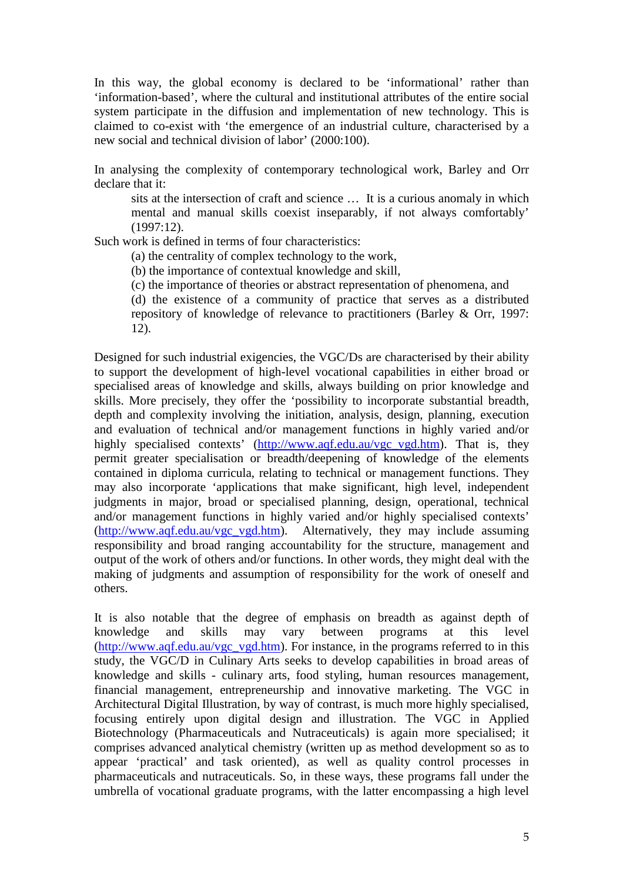In this way, the global economy is declared to be 'informational' rather than 'information-based', where the cultural and institutional attributes of the entire social system participate in the diffusion and implementation of new technology. This is claimed to co-exist with 'the emergence of an industrial culture, characterised by a new social and technical division of labor' (2000:100).

In analysing the complexity of contemporary technological work, Barley and Orr declare that it:

sits at the intersection of craft and science … It is a curious anomaly in which mental and manual skills coexist inseparably, if not always comfortably' (1997:12).

Such work is defined in terms of four characteristics:

(a) the centrality of complex technology to the work,

(b) the importance of contextual knowledge and skill,

(c) the importance of theories or abstract representation of phenomena, and

(d) the existence of a community of practice that serves as a distributed repository of knowledge of relevance to practitioners (Barley & Orr, 1997: 12).

Designed for such industrial exigencies, the VGC/Ds are characterised by their ability to support the development of high-level vocational capabilities in either broad or specialised areas of knowledge and skills, always building on prior knowledge and skills. More precisely, they offer the 'possibility to incorporate substantial breadth, depth and complexity involving the initiation, analysis, design, planning, execution and evaluation of technical and/or management functions in highly varied and/or highly specialised contexts' (http://www.aqf.edu.au/vgc\_vgd.htm). That is, they permit greater specialisation or breadth/deepening of knowledge of the elements contained in diploma curricula, relating to technical or management functions. They may also incorporate 'applications that make significant, high level, independent judgments in major, broad or specialised planning, design, operational, technical and/or management functions in highly varied and/or highly specialised contexts' (http://www.aqf.edu.au/vgc\_vgd.htm). Alternatively, they may include assuming responsibility and broad ranging accountability for the structure, management and output of the work of others and/or functions. In other words, they might deal with the making of judgments and assumption of responsibility for the work of oneself and others.

It is also notable that the degree of emphasis on breadth as against depth of knowledge and skills may vary between programs at this level (http://www.aqf.edu.au/vgc\_vgd.htm). For instance, in the programs referred to in this study, the VGC/D in Culinary Arts seeks to develop capabilities in broad areas of knowledge and skills - culinary arts, food styling, human resources management, financial management, entrepreneurship and innovative marketing. The VGC in Architectural Digital Illustration, by way of contrast, is much more highly specialised, focusing entirely upon digital design and illustration. The VGC in Applied Biotechnology (Pharmaceuticals and Nutraceuticals) is again more specialised; it comprises advanced analytical chemistry (written up as method development so as to appear 'practical' and task oriented), as well as quality control processes in pharmaceuticals and nutraceuticals. So, in these ways, these programs fall under the umbrella of vocational graduate programs, with the latter encompassing a high level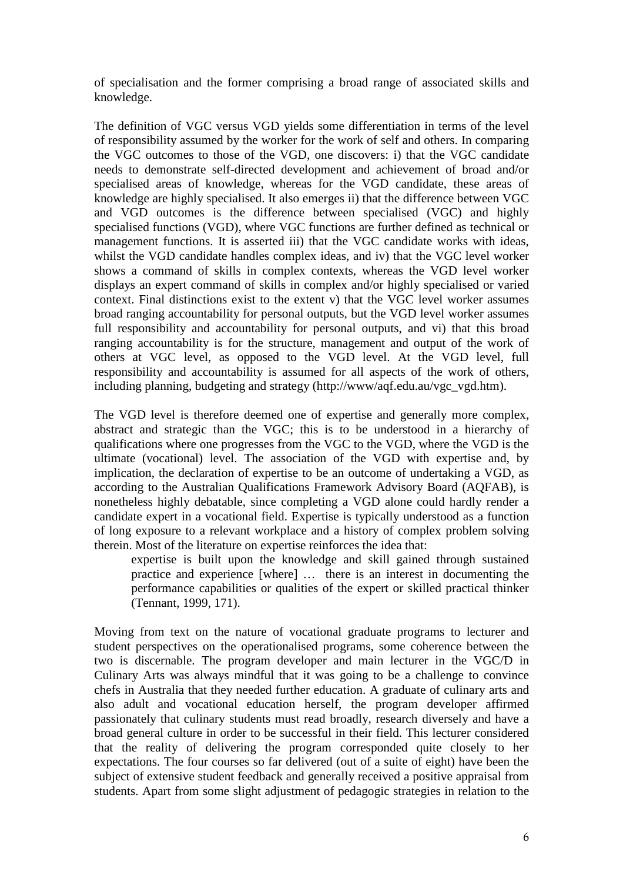of specialisation and the former comprising a broad range of associated skills and knowledge.

The definition of VGC versus VGD yields some differentiation in terms of the level of responsibility assumed by the worker for the work of self and others. In comparing the VGC outcomes to those of the VGD, one discovers: i) that the VGC candidate needs to demonstrate self-directed development and achievement of broad and/or specialised areas of knowledge, whereas for the VGD candidate, these areas of knowledge are highly specialised. It also emerges ii) that the difference between VGC and VGD outcomes is the difference between specialised (VGC) and highly specialised functions (VGD), where VGC functions are further defined as technical or management functions. It is asserted iii) that the VGC candidate works with ideas, whilst the VGD candidate handles complex ideas, and iv) that the VGC level worker shows a command of skills in complex contexts, whereas the VGD level worker displays an expert command of skills in complex and/or highly specialised or varied context. Final distinctions exist to the extent v) that the VGC level worker assumes broad ranging accountability for personal outputs, but the VGD level worker assumes full responsibility and accountability for personal outputs, and vi) that this broad ranging accountability is for the structure, management and output of the work of others at VGC level, as opposed to the VGD level. At the VGD level, full responsibility and accountability is assumed for all aspects of the work of others, including planning, budgeting and strategy (http://www/aqf.edu.au/vgc\_vgd.htm).

The VGD level is therefore deemed one of expertise and generally more complex, abstract and strategic than the VGC; this is to be understood in a hierarchy of qualifications where one progresses from the VGC to the VGD, where the VGD is the ultimate (vocational) level. The association of the VGD with expertise and, by implication, the declaration of expertise to be an outcome of undertaking a VGD, as according to the Australian Qualifications Framework Advisory Board (AQFAB), is nonetheless highly debatable, since completing a VGD alone could hardly render a candidate expert in a vocational field. Expertise is typically understood as a function of long exposure to a relevant workplace and a history of complex problem solving therein. Most of the literature on expertise reinforces the idea that:

expertise is built upon the knowledge and skill gained through sustained practice and experience [where] … there is an interest in documenting the performance capabilities or qualities of the expert or skilled practical thinker (Tennant, 1999, 171).

Moving from text on the nature of vocational graduate programs to lecturer and student perspectives on the operationalised programs, some coherence between the two is discernable. The program developer and main lecturer in the VGC/D in Culinary Arts was always mindful that it was going to be a challenge to convince chefs in Australia that they needed further education. A graduate of culinary arts and also adult and vocational education herself, the program developer affirmed passionately that culinary students must read broadly, research diversely and have a broad general culture in order to be successful in their field. This lecturer considered that the reality of delivering the program corresponded quite closely to her expectations. The four courses so far delivered (out of a suite of eight) have been the subject of extensive student feedback and generally received a positive appraisal from students. Apart from some slight adjustment of pedagogic strategies in relation to the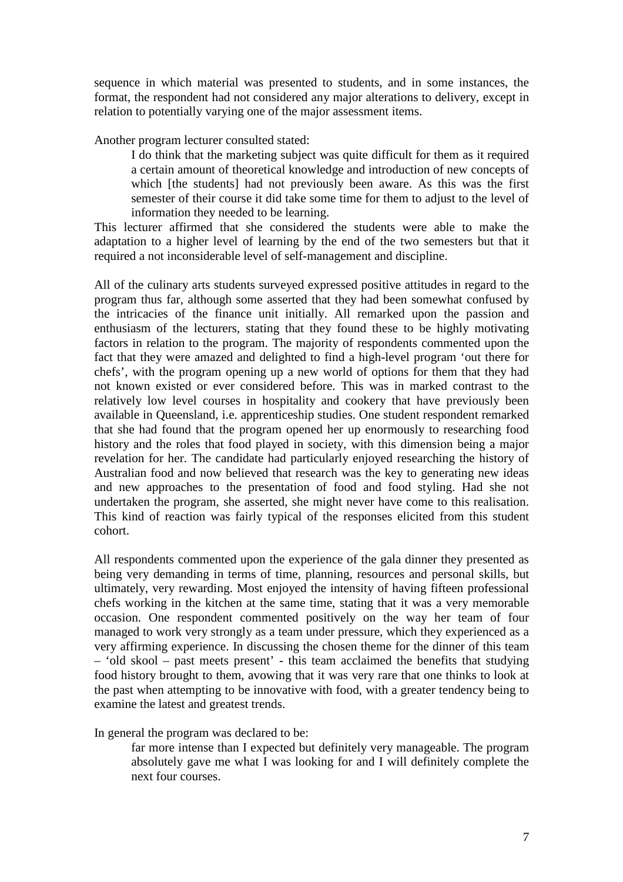sequence in which material was presented to students, and in some instances, the format, the respondent had not considered any major alterations to delivery, except in relation to potentially varying one of the major assessment items.

Another program lecturer consulted stated:

I do think that the marketing subject was quite difficult for them as it required a certain amount of theoretical knowledge and introduction of new concepts of which [the students] had not previously been aware. As this was the first semester of their course it did take some time for them to adjust to the level of information they needed to be learning.

This lecturer affirmed that she considered the students were able to make the adaptation to a higher level of learning by the end of the two semesters but that it required a not inconsiderable level of self-management and discipline.

All of the culinary arts students surveyed expressed positive attitudes in regard to the program thus far, although some asserted that they had been somewhat confused by the intricacies of the finance unit initially. All remarked upon the passion and enthusiasm of the lecturers, stating that they found these to be highly motivating factors in relation to the program. The majority of respondents commented upon the fact that they were amazed and delighted to find a high-level program 'out there for chefs', with the program opening up a new world of options for them that they had not known existed or ever considered before. This was in marked contrast to the relatively low level courses in hospitality and cookery that have previously been available in Queensland, i.e. apprenticeship studies. One student respondent remarked that she had found that the program opened her up enormously to researching food history and the roles that food played in society, with this dimension being a major revelation for her. The candidate had particularly enjoyed researching the history of Australian food and now believed that research was the key to generating new ideas and new approaches to the presentation of food and food styling. Had she not undertaken the program, she asserted, she might never have come to this realisation. This kind of reaction was fairly typical of the responses elicited from this student cohort.

All respondents commented upon the experience of the gala dinner they presented as being very demanding in terms of time, planning, resources and personal skills, but ultimately, very rewarding. Most enjoyed the intensity of having fifteen professional chefs working in the kitchen at the same time, stating that it was a very memorable occasion. One respondent commented positively on the way her team of four managed to work very strongly as a team under pressure, which they experienced as a very affirming experience. In discussing the chosen theme for the dinner of this team – 'old skool – past meets present' - this team acclaimed the benefits that studying food history brought to them, avowing that it was very rare that one thinks to look at the past when attempting to be innovative with food, with a greater tendency being to examine the latest and greatest trends.

In general the program was declared to be:

far more intense than I expected but definitely very manageable. The program absolutely gave me what I was looking for and I will definitely complete the next four courses.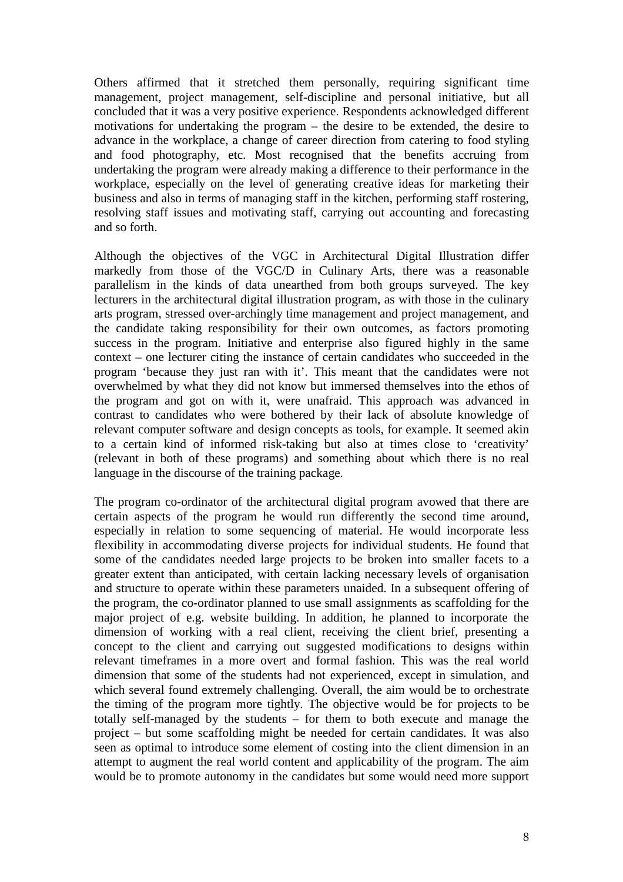Others affirmed that it stretched them personally, requiring significant time management, project management, self-discipline and personal initiative, but all concluded that it was a very positive experience. Respondents acknowledged different motivations for undertaking the program – the desire to be extended, the desire to advance in the workplace, a change of career direction from catering to food styling and food photography, etc. Most recognised that the benefits accruing from undertaking the program were already making a difference to their performance in the workplace, especially on the level of generating creative ideas for marketing their business and also in terms of managing staff in the kitchen, performing staff rostering, resolving staff issues and motivating staff, carrying out accounting and forecasting and so forth.

Although the objectives of the VGC in Architectural Digital Illustration differ markedly from those of the VGC/D in Culinary Arts, there was a reasonable parallelism in the kinds of data unearthed from both groups surveyed. The key lecturers in the architectural digital illustration program, as with those in the culinary arts program, stressed over-archingly time management and project management, and the candidate taking responsibility for their own outcomes, as factors promoting success in the program. Initiative and enterprise also figured highly in the same context – one lecturer citing the instance of certain candidates who succeeded in the program 'because they just ran with it'. This meant that the candidates were not overwhelmed by what they did not know but immersed themselves into the ethos of the program and got on with it, were unafraid. This approach was advanced in contrast to candidates who were bothered by their lack of absolute knowledge of relevant computer software and design concepts as tools, for example. It seemed akin to a certain kind of informed risk-taking but also at times close to 'creativity' (relevant in both of these programs) and something about which there is no real language in the discourse of the training package.

The program co-ordinator of the architectural digital program avowed that there are certain aspects of the program he would run differently the second time around, especially in relation to some sequencing of material. He would incorporate less flexibility in accommodating diverse projects for individual students. He found that some of the candidates needed large projects to be broken into smaller facets to a greater extent than anticipated, with certain lacking necessary levels of organisation and structure to operate within these parameters unaided. In a subsequent offering of the program, the co-ordinator planned to use small assignments as scaffolding for the major project of e.g. website building. In addition, he planned to incorporate the dimension of working with a real client, receiving the client brief, presenting a concept to the client and carrying out suggested modifications to designs within relevant timeframes in a more overt and formal fashion. This was the real world dimension that some of the students had not experienced, except in simulation, and which several found extremely challenging. Overall, the aim would be to orchestrate the timing of the program more tightly. The objective would be for projects to be totally self-managed by the students – for them to both execute and manage the project – but some scaffolding might be needed for certain candidates. It was also seen as optimal to introduce some element of costing into the client dimension in an attempt to augment the real world content and applicability of the program. The aim would be to promote autonomy in the candidates but some would need more support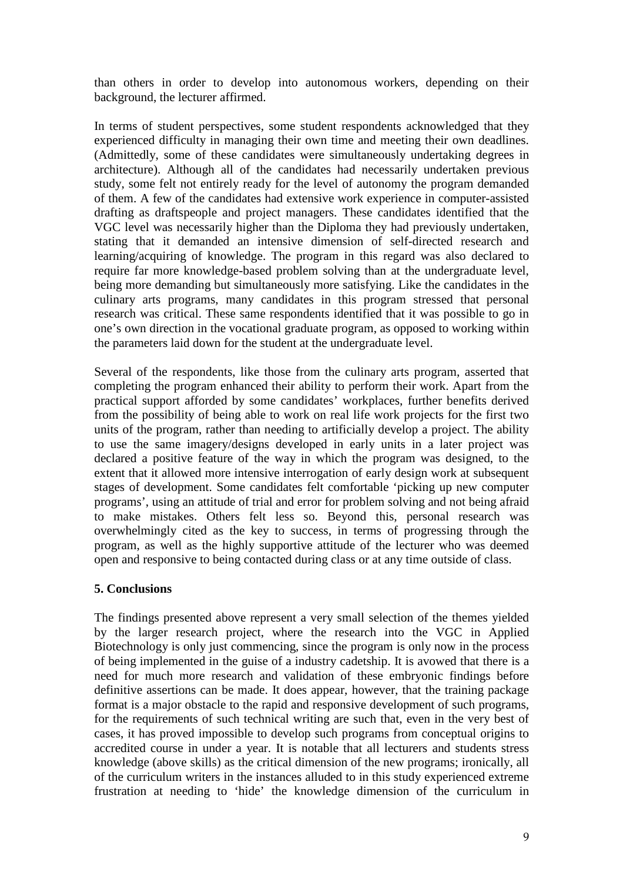than others in order to develop into autonomous workers, depending on their background, the lecturer affirmed.

In terms of student perspectives, some student respondents acknowledged that they experienced difficulty in managing their own time and meeting their own deadlines. (Admittedly, some of these candidates were simultaneously undertaking degrees in architecture). Although all of the candidates had necessarily undertaken previous study, some felt not entirely ready for the level of autonomy the program demanded of them. A few of the candidates had extensive work experience in computer-assisted drafting as draftspeople and project managers. These candidates identified that the VGC level was necessarily higher than the Diploma they had previously undertaken, stating that it demanded an intensive dimension of self-directed research and learning/acquiring of knowledge. The program in this regard was also declared to require far more knowledge-based problem solving than at the undergraduate level. being more demanding but simultaneously more satisfying. Like the candidates in the culinary arts programs, many candidates in this program stressed that personal research was critical. These same respondents identified that it was possible to go in one's own direction in the vocational graduate program, as opposed to working within the parameters laid down for the student at the undergraduate level.

Several of the respondents, like those from the culinary arts program, asserted that completing the program enhanced their ability to perform their work. Apart from the practical support afforded by some candidates' workplaces, further benefits derived from the possibility of being able to work on real life work projects for the first two units of the program, rather than needing to artificially develop a project. The ability to use the same imagery/designs developed in early units in a later project was declared a positive feature of the way in which the program was designed, to the extent that it allowed more intensive interrogation of early design work at subsequent stages of development. Some candidates felt comfortable 'picking up new computer programs', using an attitude of trial and error for problem solving and not being afraid to make mistakes. Others felt less so. Beyond this, personal research was overwhelmingly cited as the key to success, in terms of progressing through the program, as well as the highly supportive attitude of the lecturer who was deemed open and responsive to being contacted during class or at any time outside of class.

#### **5. Conclusions**

The findings presented above represent a very small selection of the themes yielded by the larger research project, where the research into the VGC in Applied Biotechnology is only just commencing, since the program is only now in the process of being implemented in the guise of a industry cadetship. It is avowed that there is a need for much more research and validation of these embryonic findings before definitive assertions can be made. It does appear, however, that the training package format is a major obstacle to the rapid and responsive development of such programs, for the requirements of such technical writing are such that, even in the very best of cases, it has proved impossible to develop such programs from conceptual origins to accredited course in under a year. It is notable that all lecturers and students stress knowledge (above skills) as the critical dimension of the new programs; ironically, all of the curriculum writers in the instances alluded to in this study experienced extreme frustration at needing to 'hide' the knowledge dimension of the curriculum in